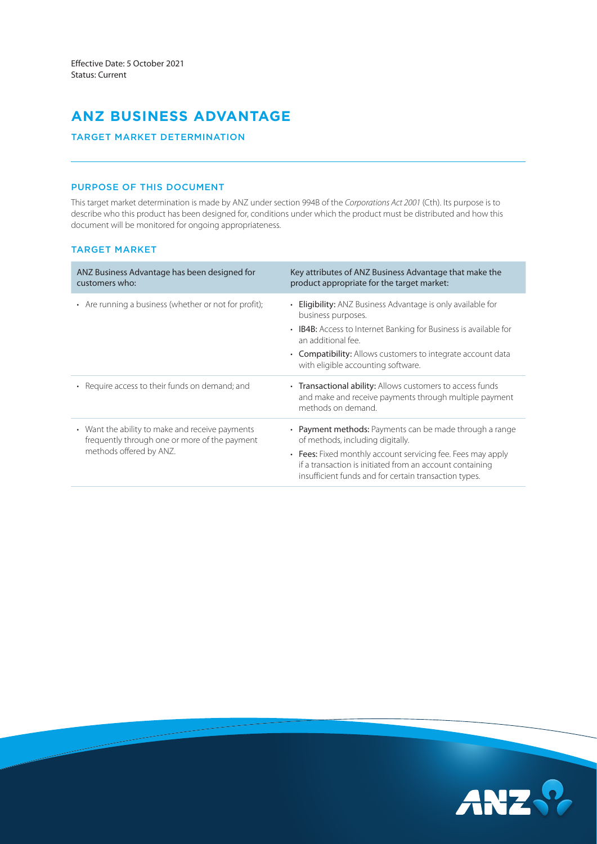# **ANZ BUSINESS ADVANTAGE**

# TARGET MARKET DETERMINATION

# PURPOSE OF THIS DOCUMENT

This target market determination is made by ANZ under section 994B of the *Corporations Act 2001* (Cth). Its purpose is to describe who this product has been designed for, conditions under which the product must be distributed and how this document will be monitored for ongoing appropriateness.

# TARGET MARKET

| ANZ Business Advantage has been designed for<br>customers who:                                                              | Key attributes of ANZ Business Advantage that make the<br>product appropriate for the target market:                                                                             |
|-----------------------------------------------------------------------------------------------------------------------------|----------------------------------------------------------------------------------------------------------------------------------------------------------------------------------|
| • Are running a business (whether or not for profit);                                                                       | • Eligibility: ANZ Business Advantage is only available for<br>business purposes.                                                                                                |
|                                                                                                                             | • IB4B: Access to Internet Banking for Business is available for<br>an additional fee.                                                                                           |
|                                                                                                                             | • Compatibility: Allows customers to integrate account data<br>with eligible accounting software.                                                                                |
| • Require access to their funds on demand; and                                                                              | • Transactional ability: Allows customers to access funds<br>and make and receive payments through multiple payment<br>methods on demand.                                        |
| • Want the ability to make and receive payments<br>frequently through one or more of the payment<br>methods offered by ANZ. | • Payment methods: Payments can be made through a range<br>of methods, including digitally.                                                                                      |
|                                                                                                                             | • Fees: Fixed monthly account servicing fee. Fees may apply<br>if a transaction is initiated from an account containing<br>insufficient funds and for certain transaction types. |

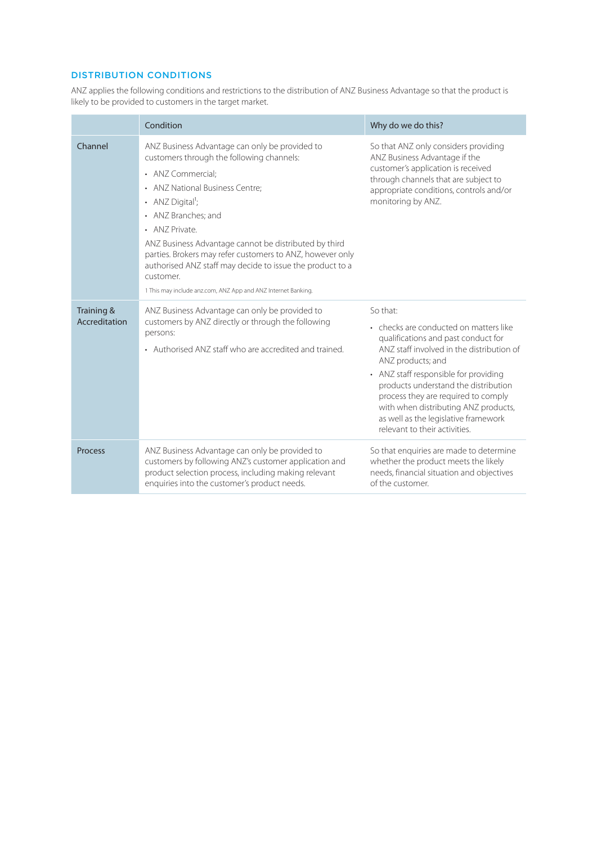# DISTRIBUTION CONDITIONS

ANZ applies the following conditions and restrictions to the distribution of ANZ Business Advantage so that the product is likely to be provided to customers in the target market.

|                             | Condition                                                                                                                                                                                                                                                                                                                                                                                                                                                                                     | Why do we do this?                                                                                                                                                                                                                                                                                                                                                                                   |
|-----------------------------|-----------------------------------------------------------------------------------------------------------------------------------------------------------------------------------------------------------------------------------------------------------------------------------------------------------------------------------------------------------------------------------------------------------------------------------------------------------------------------------------------|------------------------------------------------------------------------------------------------------------------------------------------------------------------------------------------------------------------------------------------------------------------------------------------------------------------------------------------------------------------------------------------------------|
| Channel                     | ANZ Business Advantage can only be provided to<br>customers through the following channels:<br>• ANZ Commercial;<br>• ANZ National Business Centre;<br>• ANZ Digital <sup>1</sup> ;<br>• ANZ Branches; and<br>• ANZ Private.<br>ANZ Business Advantage cannot be distributed by third<br>parties. Brokers may refer customers to ANZ, however only<br>authorised ANZ staff may decide to issue the product to a<br>customer.<br>1 This may include anz.com, ANZ App and ANZ Internet Banking. | So that ANZ only considers providing<br>ANZ Business Advantage if the<br>customer's application is received<br>through channels that are subject to<br>appropriate conditions, controls and/or<br>monitoring by ANZ.                                                                                                                                                                                 |
| Training &<br>Accreditation | ANZ Business Advantage can only be provided to<br>customers by ANZ directly or through the following<br>persons:<br>• Authorised ANZ staff who are accredited and trained.                                                                                                                                                                                                                                                                                                                    | So that:<br>• checks are conducted on matters like<br>qualifications and past conduct for<br>ANZ staff involved in the distribution of<br>ANZ products; and<br>• ANZ staff responsible for providing<br>products understand the distribution<br>process they are required to comply<br>with when distributing ANZ products,<br>as well as the legislative framework<br>relevant to their activities. |
| <b>Process</b>              | ANZ Business Advantage can only be provided to<br>customers by following ANZ's customer application and<br>product selection process, including making relevant<br>enquiries into the customer's product needs.                                                                                                                                                                                                                                                                               | So that enquiries are made to determine<br>whether the product meets the likely<br>needs, financial situation and objectives<br>of the customer.                                                                                                                                                                                                                                                     |